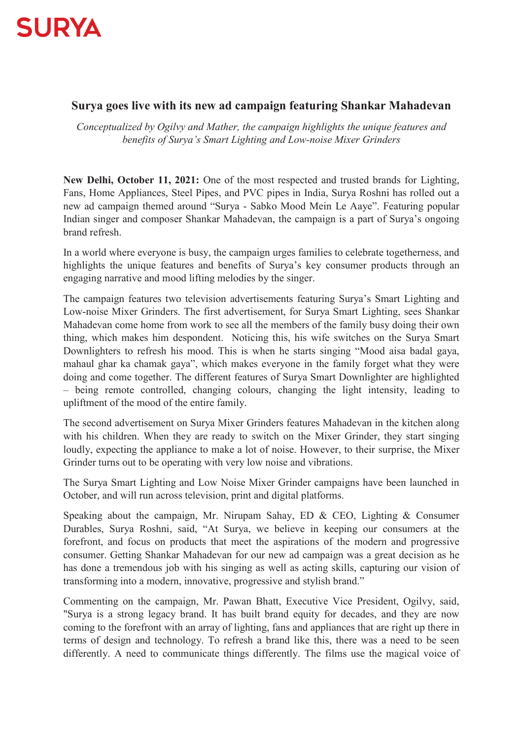

## **Surya goes live with its new ad campaign featuring Shankar Mahadevan**

*Conceptualized by Ogilvy and Mather, the campaign highlights the unique features and benefits of Surva's Smart Lighting and Low-noise Mixer Grinders* 

**New Delhi, October 11, 2021:** One of the most respected and trusted brands for Lighting, Fans, Home Appliances, Steel Pipes, and PVC pipes in India, Surya Roshni has rolled out a new ad campaign themed around "Surya - Sabko Mood Mein Le Aaye". Featuring popular Indian singer and composer Shankar Mahadevan, the campaign is a part of Surya's ongoing brand refresh.

In a world where everyone is busy, the campaign urges families to celebrate togetherness, and highlights the unique features and benefits of Surya's key consumer products through an engaging narrative and mood lifting melodies by the singer.

The campaign features two television advertisements featuring Surya's Smart Lighting and Low-noise Mixer Grinders. The first advertisement, for Surya Smart Lighting, sees Shankar Mahadevan come home from work to see all the members of the family busy doing their own thing, which makes him despondent. Noticing this, his wife switches on the Surya Smart Downlighters to refresh his mood. This is when he starts singing "Mood aisa badal gaya, mahaul ghar ka chamak gaya", which makes everyone in the family forget what they were doing and come together. The different features of Surya Smart Downlighter are highlighted – being remote controlled, changing colours, changing the light intensity, leading to upliftment of the mood of the entire family.

The second advertisement on Surya Mixer Grinders features Mahadevan in the kitchen along with his children. When they are ready to switch on the Mixer Grinder, they start singing loudly, expecting the appliance to make a lot of noise. However, to their surprise, the Mixer Grinder turns out to be operating with very low noise and vibrations.

The Surya Smart Lighting and Low Noise Mixer Grinder campaigns have been launched in October, and will run across television, print and digital platforms.

Speaking about the campaign, Mr. Nirupam Sahay, ED & CEO, Lighting & Consumer Durables, Surya Roshni, said, "At Surya, we believe in keeping our consumers at the forefront, and focus on products that meet the aspirations of the modern and progressive consumer. Getting Shankar Mahadevan for our new ad campaign was a great decision as he has done a tremendous job with his singing as well as acting skills, capturing our vision of transforming into a modern, innovative, progressive and stylish brand."

Commenting on the campaign, Mr. Pawan Bhatt, Executive Vice President, Ogilvy, said, "Surya is a strong legacy brand. It has built brand equity for decades, and they are now coming to the forefront with an array of lighting, fans and appliances that are right up there in terms of design and technology. To refresh a brand like this, there was a need to be seen differently. A need to communicate things differently. The films use the magical voice of